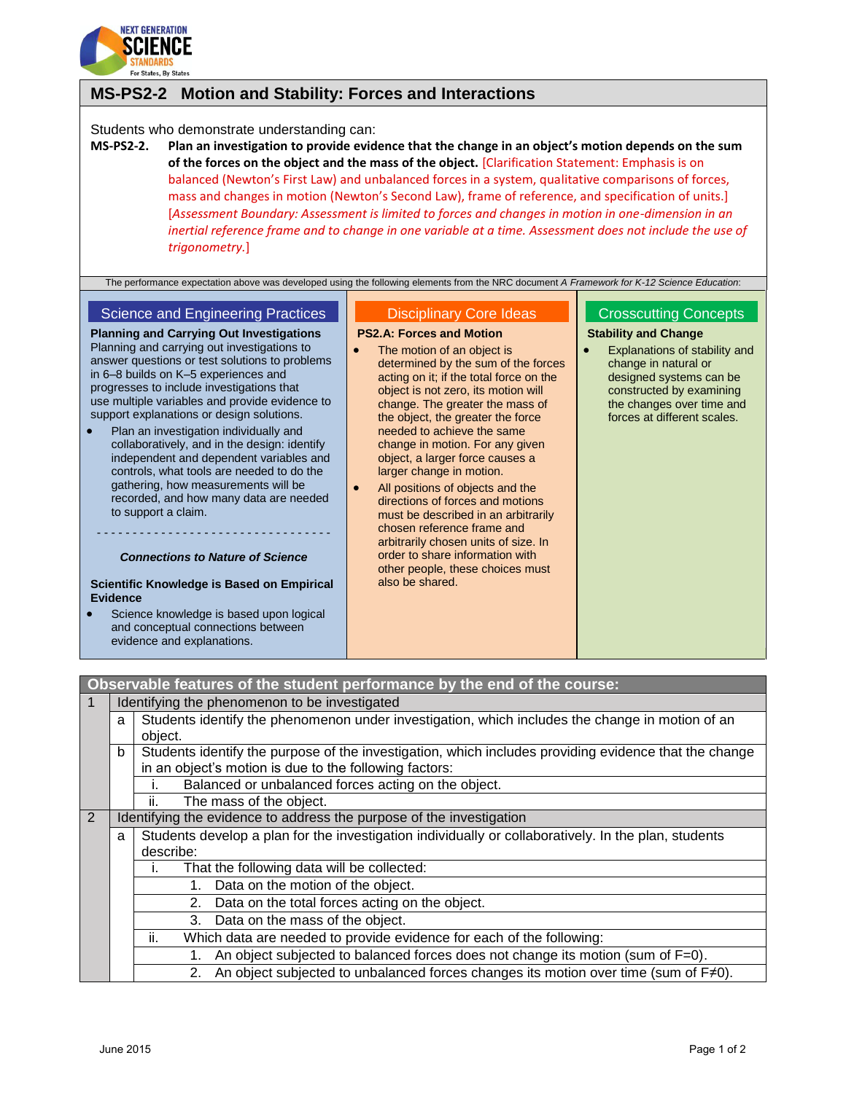

# **MS-PS2-2 Motion and Stability: Forces and Interactions**

### Students who demonstrate understanding can:

**MS-PS2-2. Plan an investigation to provide evidence that the change in an object's motion depends on the sum of the forces on the object and the mass of the object.** [Clarification Statement: Emphasis is on balanced (Newton's First Law) and unbalanced forces in a system, qualitative comparisons of forces, mass and changes in motion (Newton's Second Law), frame of reference, and specification of units.] [*Assessment Boundary: Assessment is limited to forces and changes in motion in one-dimension in an inertial reference frame and to change in one variable at a time. Assessment does not include the use of trigonometry.*]

The performance expectation above was developed using the following elements from the NRC document *A Framework for K-12 Science Education*:

## Science and Engineering Practices

**Planning and Carrying Out Investigations** Planning and carrying out investigations to answer questions or test solutions to problems in 6–8 builds on K–5 experiences and progresses to include investigations that use multiple variables and provide evidence to support explanations or design solutions.

 Plan an investigation individually and collaboratively, and in the design: identify independent and dependent variables and controls, what tools are needed to do the gathering, how measurements will be recorded, and how many data are needed to support a claim.

## - - - - - - - - - - - - - - - - - - - - - - - - - - - - - - - - -

*Connections to Nature of Science*

#### **Scientific Knowledge is Based on Empirical Evidence**

 Science knowledge is based upon logical and conceptual connections between evidence and explanations.

#### Disciplinary Core Ideas

#### **PS2.A: Forces and Motion**

- The motion of an object is determined by the sum of the forces acting on it; if the total force on the object is not zero, its motion will change. The greater the mass of the object, the greater the force needed to achieve the same change in motion. For any given object, a larger force causes a larger change in motion.
- All positions of objects and the directions of forces and motions must be described in an arbitrarily chosen reference frame and arbitrarily chosen units of size. In order to share information with other people, these choices must also be shared.

## Crosscutting Concepts

### **Stability and Change**

 Explanations of stability and change in natural or designed systems can be constructed by examining the changes over time and forces at different scales.

|   |   | Observable features of the student performance by the end of the course:                              |  |  |
|---|---|-------------------------------------------------------------------------------------------------------|--|--|
|   |   | Identifying the phenomenon to be investigated                                                         |  |  |
|   | a | Students identify the phenomenon under investigation, which includes the change in motion of an       |  |  |
|   |   | object.                                                                                               |  |  |
|   | b | Students identify the purpose of the investigation, which includes providing evidence that the change |  |  |
|   |   | in an object's motion is due to the following factors:                                                |  |  |
|   |   | Balanced or unbalanced forces acting on the object.                                                   |  |  |
|   |   | The mass of the object.<br>Îİ.                                                                        |  |  |
| 2 |   | Identifying the evidence to address the purpose of the investigation                                  |  |  |
|   | a | Students develop a plan for the investigation individually or collaboratively. In the plan, students  |  |  |
|   |   | describe:                                                                                             |  |  |
|   |   | That the following data will be collected:<br>Τ.                                                      |  |  |
|   |   | 1. Data on the motion of the object.                                                                  |  |  |
|   |   | 2. Data on the total forces acting on the object.                                                     |  |  |
|   |   | 3. Data on the mass of the object.                                                                    |  |  |
|   |   | ii.<br>Which data are needed to provide evidence for each of the following:                           |  |  |
|   |   | An object subjected to balanced forces does not change its motion (sum of F=0).<br>1.                 |  |  |
|   |   | An object subjected to unbalanced forces changes its motion over time (sum of $F\neq 0$ ).<br>2.      |  |  |
|   |   |                                                                                                       |  |  |